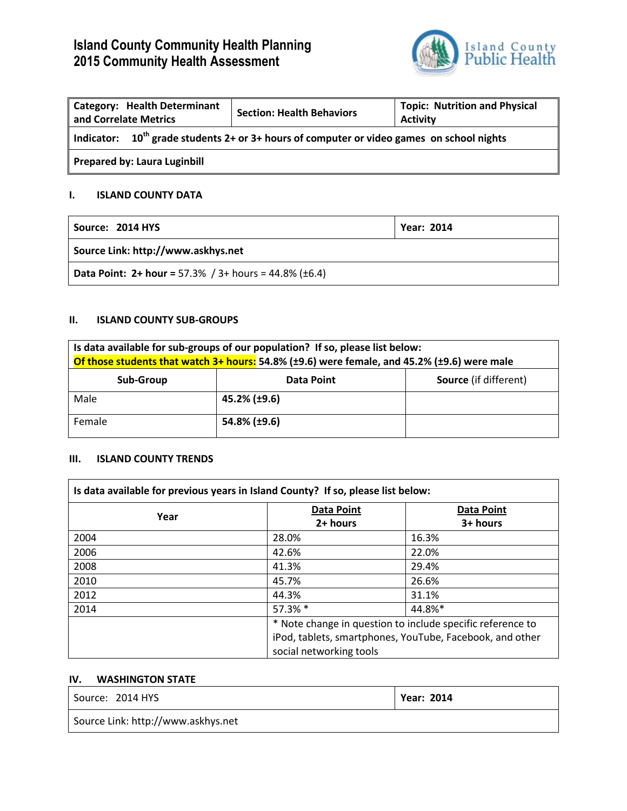# **Island County Community Health Planning 2015 Community Health Assessment**



| <b>Category: Health Determinant</b><br>and Correlate Metrics                                   | <b>Section: Health Behaviors</b> | <b>Topic: Nutrition and Physical</b><br><b>Activity</b> |
|------------------------------------------------------------------------------------------------|----------------------------------|---------------------------------------------------------|
| Indicator: $10^{th}$ grade students 2+ or 3+ hours of computer or video games on school nights |                                  |                                                         |
| <b>Prepared by: Laura Luginbill</b>                                                            |                                  |                                                         |

### **I. ISLAND COUNTY DATA**

| Source: 2014 HYS                                                            | <b>Year: 2014</b> |
|-----------------------------------------------------------------------------|-------------------|
| Source Link: http://www.askhys.net                                          |                   |
| <b>Data Point: 2+ hour = 57.3% / 3+ hours = 44.8% (<math>\pm</math>6.4)</b> |                   |

#### **II. ISLAND COUNTY SUB-GROUPS**

| Is data available for sub-groups of our population? If so, please list below:<br>Of those students that watch 3+ hours: 54.8% (±9.6) were female, and 45.2% (±9.6) were male |                   |                              |
|------------------------------------------------------------------------------------------------------------------------------------------------------------------------------|-------------------|------------------------------|
| Sub-Group                                                                                                                                                                    | <b>Data Point</b> | <b>Source</b> (if different) |
| Male                                                                                                                                                                         | 45.2% (±9.6)      |                              |
| Female                                                                                                                                                                       | 54.8% (±9.6)      |                              |

### **III. ISLAND COUNTY TRENDS**

| Is data available for previous years in Island County? If so, please list below: |                                                                                     |                   |
|----------------------------------------------------------------------------------|-------------------------------------------------------------------------------------|-------------------|
| Year                                                                             | <b>Data Point</b>                                                                   | <b>Data Point</b> |
|                                                                                  | $2+ hours$                                                                          | 3+ hours          |
| 2004                                                                             | 28.0%                                                                               | 16.3%             |
| 2006                                                                             | 42.6%                                                                               | 22.0%             |
| 2008                                                                             | 41.3%                                                                               | 29.4%             |
| 2010                                                                             | 45.7%                                                                               | 26.6%             |
| 2012                                                                             | 44.3%                                                                               | 31.1%             |
| 2014                                                                             | 57.3% *                                                                             | 44.8%*            |
|                                                                                  | * Note change in question to include specific reference to                          |                   |
|                                                                                  | iPod, tablets, smartphones, YouTube, Facebook, and other<br>social networking tools |                   |
|                                                                                  |                                                                                     |                   |

#### **IV. WASHINGTON STATE**

| Source: 2014 HYS                   | <b>Year: 2014</b> |
|------------------------------------|-------------------|
| Source Link: http://www.askhys.net |                   |